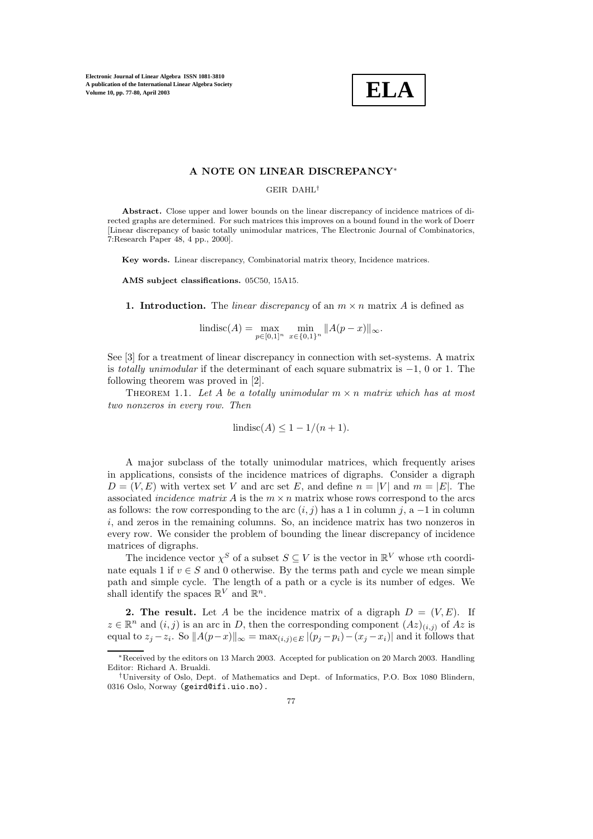**Electronic Journal of Linear Algebra ISSN 1081-3810 A publication of the International Linear Algebra Society Volume 10, pp. 77-80, April 2003**



## **A NOTE ON LINEAR DISCREPANCY**∗

## GEIR DAHL†

**Abstract.** Close upper and lower bounds on the linear discrepancy of incidence matrices of directed graphs are determined. For such matrices this improves on a bound found in the work of Doerr [Linear discrepancy of basic totally unimodular matrices, The Electronic Journal of Combinatorics, 7:Research Paper 48, 4 pp., 2000].

**Key words.** Linear discrepancy, Combinatorial matrix theory, Incidence matrices.

**AMS subject classifications.** 05C50, 15A15.

**1. Introduction.** The *linear discrepancy* of an  $m \times n$  matrix A is defined as

$$
|indisc(A) = \max_{p \in [0,1]^n} \min_{x \in \{0,1\}^n} ||A(p-x)||_{\infty}.
$$

See [3] for a treatment of linear discrepancy in connection with set-systems. A matrix is *totally unimodular* if the determinant of each square submatrix is −1, 0 or 1. The following theorem was proved in [2].

THEOREM 1.1. Let A be a totally unimodular  $m \times n$  matrix which has at most *two nonzeros in every row. Then*

$$
lindisc(A) \le 1 - 1/(n+1).
$$

A major subclass of the totally unimodular matrices, which frequently arises in applications, consists of the incidence matrices of digraphs. Consider a digraph  $D = (V, E)$  with vertex set V and arc set E, and define  $n = |V|$  and  $m = |E|$ . The associated *incidence matrix* A is the  $m \times n$  matrix whose rows correspond to the arcs as follows: the row corresponding to the arc  $(i, j)$  has a 1 in column j, a -1 in column i, and zeros in the remaining columns. So, an incidence matrix has two nonzeros in every row. We consider the problem of bounding the linear discrepancy of incidence matrices of digraphs.

The incidence vector  $\chi^S$  of a subset  $S \subseteq V$  is the vector in  $\mathbb{R}^V$  whose vth coordinate equals 1 if  $v \in S$  and 0 otherwise. By the terms path and cycle we mean simple path and simple cycle. The length of a path or a cycle is its number of edges. We shall identify the spaces  $\mathbb{R}^V$  and  $\mathbb{R}^n$ .

**2. The result.** Let A be the incidence matrix of a digraph  $D = (V, E)$ . If  $z \in \mathbb{R}^n$  and  $(i, j)$  is an arc in D, then the corresponding component  $(Az)_{(i,j)}$  of  $Az$  is equal to  $z_j - z_i$ . So  $||A(p-x)||_{\infty} = \max_{(i,j)\in E} |(p_j - p_i) - (x_j - x_i)|$  and it follows that

<sup>∗</sup>Received by the editors on 13 March 2003. Accepted for publication on 20 March 2003. Handling Editor: Richard A. Brualdi.

<sup>†</sup>University of Oslo, Dept. of Mathematics and Dept. of Informatics, P.O. Box 1080 Blindern, 0316 Oslo, Norway (geird@ifi.uio.no).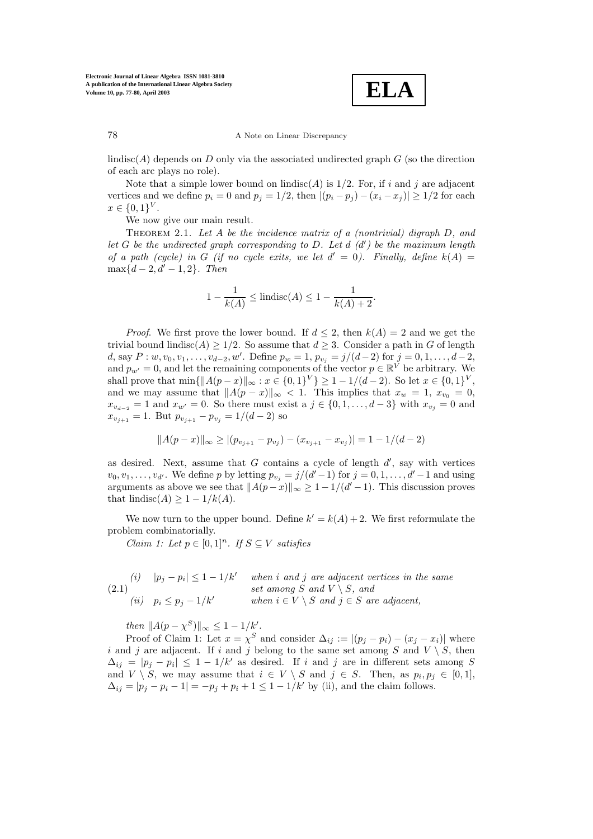**ELA**

78 A Note on Linear Discrepancy

lindisc(A) depends on D only via the associated undirected graph  $G$  (so the direction of each arc plays no role).

Note that a simple lower bound on lindisc(A) is  $1/2$ . For, if i and j are adjacent vertices and we define  $p_i = 0$  and  $p_j = 1/2$ , then  $|(p_i - p_j) - (x_i - x_j)| \ge 1/2$  for each  $x \in \{0,1\}^{V}$ .

We now give our main result.

Theorem 2.1. *Let* A *be the incidence matrix of a (nontrivial) digraph* D*, and let* G *be the undirected graph corresponding to* D*. Let* d *(*d *) be the maximum length of a path (cycle) in G (if no cycle exits, we let*  $d' = 0$ ). Finally, define  $k(A) =$  $\max\{d-2, d'-1, 2\}$ *. Then* 

$$
1 - \frac{1}{k(A)} \le \text{lindisc}(A) \le 1 - \frac{1}{k(A) + 2}.
$$

*Proof.* We first prove the lower bound. If  $d \leq 2$ , then  $k(A) = 2$  and we get the trivial bound lindisc(A)  $\geq$  1/2. So assume that  $d \geq$  3. Consider a path in G of length d, say  $P: w, v_0, v_1, \ldots, v_{d-2}, w'$ . Define  $p_w = 1$ ,  $p_{v_j} = j/(d-2)$  for  $j = 0, 1, \ldots, d-2$ , and  $p_{w'} = 0$ , and let the remaining components of the vector  $p \in \mathbb{R}^{\tilde{V}}$  be arbitrary. We shall prove that  $\min\{\|A(p-x)\|_{\infty}: x \in \{0,1\}^V\} \geq 1-1/(d-2)$ . So let  $x \in \{0,1\}^V$ , and we may assume that  $||A(p-x)||_{\infty} < 1$ . This implies that  $x_w = 1$ ,  $x_{v_0} = 0$ ,  $x_{v_{d-2}} = 1$  and  $x_{w'} = 0$ . So there must exist a  $j \in \{0, 1, \ldots, d-3\}$  with  $x_{v_j} = 0$  and  $x_{v_{j+1}} = 1$ . But  $p_{v_{j+1}} - p_{v_j} = 1/(d-2)$  so

$$
||A(p-x)||_{\infty} \ge |(p_{v_{j+1}} - p_{v_j}) - (x_{v_{j+1}} - x_{v_j})| = 1 - 1/(d-2)
$$

as desired. Next, assume that  $G$  contains a cycle of length  $d'$ , say with vertices  $v_0, v_1, \ldots, v_{d'}$ . We define p by letting  $p_{v_j} = j/(d'-1)$  for  $j = 0, 1, \ldots, d'-1$  and using arguments as above we see that  $||A(p-x)||_{\infty} \geq 1 - 1/(d'-1)$ . This discussion proves that lindisc( $A$ ) ≥ 1 – 1/k( $A$ ).

We now turn to the upper bound. Define  $k' = k(A) + 2$ . We first reformulate the problem combinatorially.

*Claim 1: Let*  $p \in [0,1]^n$ *. If*  $S \subseteq V$  *satisfies* 

(2.1)   
\n(i) 
$$
|p_j - p_i| \le 1 - 1/k'
$$
 when *i* and *j* are adjacent vertices in the same  
\nset among *S* and  $V \setminus S$ , and  
\n(ii)  $p_i \le p_j - 1/k'$  when  $i \in V \setminus S$  and  $j \in S$  are adjacent,

*then*  $||A(p - \chi^S)||_{\infty} \leq 1 - 1/k'.$ 

Proof of Claim 1: Let  $x = \chi^S$  and consider  $\Delta_{ij} := |(p_j - p_i) - (x_j - x_i)|$  where i and j are adjacent. If i and j belong to the same set among S and  $V \setminus S$ , then  $\Delta_{ij} = |p_j - p_i| \leq 1 - 1/k'$  as desired. If i and j are in different sets among S and  $V \setminus S$ , we may assume that  $i \in V \setminus S$  and  $j \in S$ . Then, as  $p_i, p_j \in [0, 1]$ ,  $\Delta_{ij} = |p_j - p_i - 1| = -p_j + p_i + 1 \leq 1 - 1/k'$  by (ii), and the claim follows.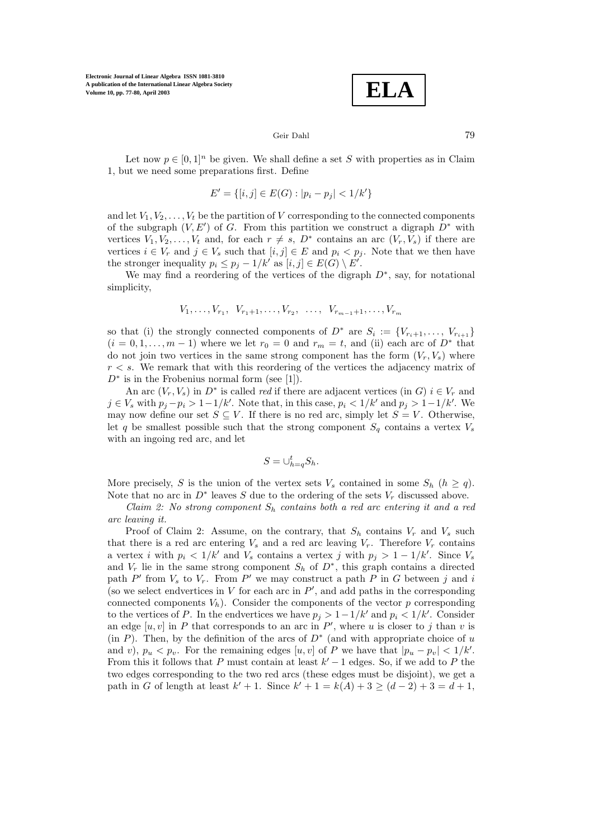**Electronic Journal of Linear Algebra ISSN 1081-3810 A publication of the International Linear Algebra Society Volume 10, pp. 77-80, April 2003**

$$
\boxed{\textbf{ELA}}
$$

## Geir Dahl 79

Let now  $p \in [0,1]^n$  be given. We shall define a set S with properties as in Claim 1, but we need some preparations first. Define

$$
E' = \{ [i, j] \in E(G) : |p_i - p_j| < 1/k' \}
$$

and let  $V_1, V_2, \ldots, V_t$  be the partition of V corresponding to the connected components of the subgraph  $(V, E')$  of G. From this partition we construct a digraph  $D^*$  with vertices  $V_1, V_2, \ldots, V_t$  and, for each  $r \neq s$ ,  $D^*$  contains an arc  $(V_r, V_s)$  if there are vertices  $i \in V_r$  and  $j \in V_s$  such that  $[i, j] \in E$  and  $p_i < p_j$ . Note that we then have the stronger inequality  $p_i \leq p_j - 1/k'$  as  $[i, j] \in E(G) \setminus E'$ .

We may find a reordering of the vertices of the digraph  $D^*$ , say, for notational simplicity,

$$
V_1, \ldots, V_{r_1}, V_{r_1+1}, \ldots, V_{r_2}, \ldots, V_{r_{m-1}+1}, \ldots, V_{r_m}
$$

so that (i) the strongly connected components of  $D^*$  are  $S_i := \{V_{r_i+1},\ldots,V_{r_{i+1}}\}$  $(i = 0, 1, \ldots, m - 1)$  where we let  $r_0 = 0$  and  $r_m = t$ , and (ii) each arc of  $D^*$  that do not join two vertices in the same strong component has the form  $(V_r, V_s)$  where  $r < s$ . We remark that with this reordering of the vertices the adjacency matrix of  $D^*$  is in the Frobenius normal form (see [1]).

An arc  $(V_r, V_s)$  in  $D^*$  is called *red* if there are adjacent vertices (in G)  $i \in V_r$  and  $j \in V_s$  with  $p_j - p_i > 1 - 1/k'$ . Note that, in this case,  $p_i < 1/k'$  and  $p_j > 1 - 1/k'$ . We may now define our set  $S \subseteq V$ . If there is no red arc, simply let  $S = V$ . Otherwise, let q be smallest possible such that the strong component  $S_q$  contains a vertex  $V_s$ with an ingoing red arc, and let

$$
S=\cup_{h=q}^t S_h.
$$

More precisely, S is the union of the vertex sets  $V_s$  contained in some  $S_h$   $(h \geq q)$ . Note that no arc in  $D^*$  leaves S due to the ordering of the sets  $V_r$  discussed above.

*Claim 2: No strong component* S<sup>h</sup> *contains both a red arc entering it and a red arc leaving it.*

Proof of Claim 2: Assume, on the contrary, that  $S_h$  contains  $V_r$  and  $V_s$  such that there is a red arc entering  $V_s$  and a red arc leaving  $V_r$ . Therefore  $V_r$  contains a vertex i with  $p_i < 1/k'$  and  $V_s$  contains a vertex j with  $p_j > 1 - 1/k'$ . Since  $V_s$ and  $V_r$  lie in the same strong component  $S_h$  of  $D^*$ , this graph contains a directed path P' from  $V_s$  to  $V_r$ . From P' we may construct a path P in G between j and i (so we select endvertices in  $V$  for each arc in  $P'$ , and add paths in the corresponding connected components  $V_h$ ). Consider the components of the vector p corresponding to the vertices of P. In the endvertices we have  $p_j > 1 - 1/k'$  and  $p_i < 1/k'$ . Consider an edge  $[u, v]$  in P that corresponds to an arc in P', where u is closer to j than v is (in P). Then, by the definition of the arcs of  $D^*$  (and with appropriate choice of u and v),  $p_u < p_v$ . For the remaining edges [u, v] of P we have that  $|p_u - p_v| < 1/k'$ . From this it follows that P must contain at least  $k' - 1$  edges. So, if we add to P the two edges corresponding to the two red arcs (these edges must be disjoint), we get a path in G of length at least  $k' + 1$ . Since  $k' + 1 = k(A) + 3 \ge (d - 2) + 3 = d + 1$ ,